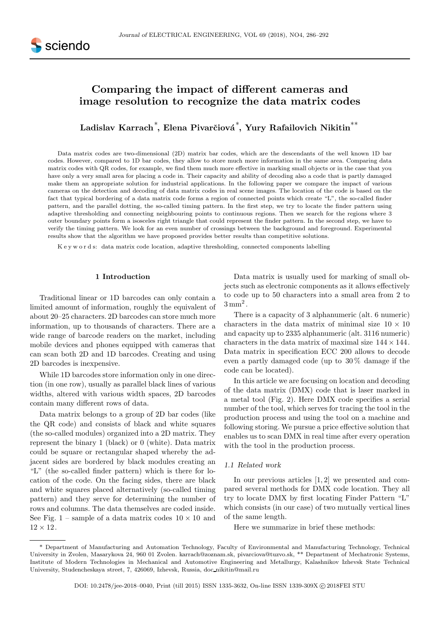# Comparing the impact of different cameras and image resolution to recognize the data matrix codes

Ladislav Karrach $^*$ , Elena Pivarčiová $^*$ , Yury Rafailovich Nikitin $^{**}$ 

Data matrix codes are two-dimensional (2D) matrix bar codes, which are the descendants of the well known 1D bar codes. However, compared to 1D bar codes, they allow to store much more information in the same area. Comparing data matrix codes with QR codes, for example, we find them much more effective in marking small objects or in the case that you have only a very small area for placing a code in. Their capacity and ability of decoding also a code that is partly damaged make them an appropriate solution for industrial applications. In the following paper we compare the impact of various cameras on the detection and decoding of data matrix codes in real scene images. The location of the code is based on the fact that typical bordering of a data matrix code forms a region of connected points which create "L", the so-called finder pattern, and the parallel dotting, the so-called timing pattern. In the first step, we try to locate the finder pattern using adaptive thresholding and connecting neighbouring points to continuous regions. Then we search for the regions where 3 outer boundary points form a isosceles right triangle that could represent the finder pattern. In the second step, we have to verify the timing pattern. We look for an even number of crossings between the background and foreground. Experimental results show that the algorithm we have proposed provides better results than competitive solutions.

K e y w o r d s: data matrix code location, adaptive thresholding, connected components labelling

# 1 Introduction

Traditional linear or 1D barcodes can only contain a limited amount of information, roughly the equivalent of about 20–25 characters. 2D barcodes can store much more information, up to thousands of characters. There are a wide range of barcode readers on the market, including mobile devices and phones equipped with cameras that can scan both 2D and 1D barcodes. Creating and using 2D barcodes is inexpensive.

While 1D barcodes store information only in one direction (in one row), usually as parallel black lines of various widths, altered with various width spaces, 2D barcodes contain many different rows of data.

Data matrix belongs to a group of 2D bar codes (like the QR code) and consists of black and white squares (the so-called modules) organized into a 2D matrix. They represent the binary 1 (black) or 0 (white). Data matrix could be square or rectangular shaped whereby the adjacent sides are bordered by black modules creating an "L" (the so-called finder pattern) which is there for location of the code. On the facing sides, there are black and white squares placed alternatively (so-called timing pattern) and they serve for determining the number of rows and columns. The data themselves are coded inside. See Fig. 1 – sample of a data matrix codes  $10 \times 10$  and  $12 \times 12$ .

Data matrix is usually used for marking of small objects such as electronic components as it allows effectively to code up to 50 characters into a small area from 2 to  $3 \,\mathrm{mm}^2$ .

There is a capacity of 3 alphanumeric (alt. 6 numeric) characters in the data matrix of minimal size  $10 \times 10$ and capacity up to 2335 alphanumeric (alt. 3116 numeric) characters in the data matrix of maximal size  $144 \times 144$ . Data matrix in specification ECC 200 allows to decode even a partly damaged code (up to 30 % damage if the code can be located).

In this article we are focusing on location and decoding of the data matrix (DMX) code that is laser marked in a metal tool (Fig. 2). Here DMX code specifies a serial number of the tool, which serves for tracing the tool in the production process and using the tool on a machine and following storing. We pursue a price effective solution that enables us to scan DMX in real time after every operation with the tool in the production process.

## 1.1 Related work

In our previous articles [1, 2] we presented and compared several methods for DMX code location. They all try to locate DMX by first locating Finder Pattern "L" which consists (in our case) of two mutually vertical lines of the same length.

Here we summarize in brief these methods:

<sup>\*</sup> Department of Manufacturing and Automation Technology, Faculty of Environmental and Manufacturing Technology, Technical University in Zvolen, Masarykova 24, 960 01 Zvolen. karrach@zoznam.sk, pivarciova@tuzvo.sk, \*\* Department of Mechatronic Systems, Institute of Modern Technologies in Mechanical and Automotive Engineering and Metallurgy, Kalashnikov Izhevsk State Technical University, Studencheskaya street, 7, 426069, Izhevsk, Russia, doc nikitin@mail.ru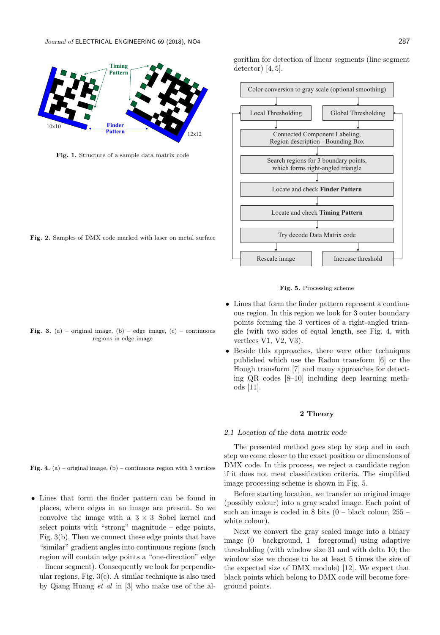

Fig. 1. Structure of a sample data matrix code

Fig. 2. Samples of DMX code marked with laser on metal surface

Fig. 3. (a) – original image, (b) – edge image, (c) – continuous regions in edge image

gorithm for detection of linear segments (line segment detector $[4, 5]$ .





- Lines that form the finder pattern represent a continuous region. In this region we look for 3 outer boundary points forming the 3 vertices of a right-angled triangle (with two sides of equal length, see Fig. 4, with vertices V1, V2, V3).
- Beside this approaches, there were other techniques published which use the Radon transform [6] or the Hough transform [7] and many approaches for detecting QR codes [8–10] including deep learning methods [11].

#### 2 Theory

## 2.1 Location of the data matrix code

The presented method goes step by step and in each step we come closer to the exact position or dimensions of DMX code. In this process, we reject a candidate region if it does not meet classification criteria. The simplified image processing scheme is shown in Fig. 5.

Before starting location, we transfer an original image (possibly colour) into a gray scaled image. Each point of such an image is coded in  $8$  bits  $(0 - black\, colour, 255$ white colour).

Next we convert the gray scaled image into a binary image (0 background, 1 foreground) using adaptive thresholding (with window size 31 and with delta 10; the window size we choose to be at least 5 times the size of the expected size of DMX module) [12]. We expect that black points which belong to DMX code will become foreground points.

Fig. 4. (a) – original image, (b) – continuous region with 3 vertices

• Lines that form the finder pattern can be found in places, where edges in an image are present. So we convolve the image with a  $3 \times 3$  Sobel kernel and select points with "strong" magnitude – edge points, Fig. 3(b). Then we connect these edge points that have "similar" gradient angles into continuous regions (such region will contain edge points a "one-direction" edge – linear segment). Consequently we look for perpendicular regions, Fig. 3(c). A similar technique is also used by Qiang Huang et al in [3] who make use of the al-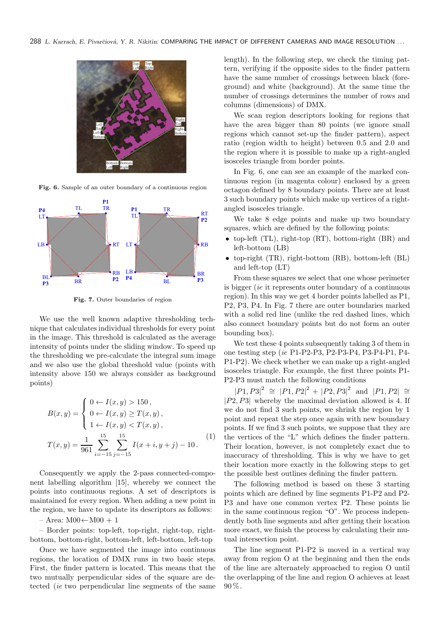

Fig. 6. Sample of an outer boundary of a continuous region



Fig. 7. Outer boundaries of region

We use the well known adaptive thresholding technique that calculates individual thresholds for every point in the image. This threshold is calculated as the average intensity of points under the sliding window. To speed up the thresholding we pre-calculate the integral sum image and we also use the global threshold value (points with intensity above 150 we always consider as background points)

$$
B(x,y) = \begin{cases} 0 \leftarrow I(x,y) > 150, \\ 0 \leftarrow I(x,y) \ge T(x,y), \\ 1 \leftarrow I(x,y) < T(x,y), \end{cases}
$$

$$
T(x,y) = \frac{1}{961} \sum_{i=-15}^{15} \sum_{j=-15}^{15} I(x+i, y+j) - 10.
$$
 (1)

Consequently we apply the 2-pass connected-component labelling algorithm [15], whereby we connect the points into continuous regions. A set of descriptors is maintained for every region. When adding a new point in the region, we have to update its descriptors as follows:

 $-$  Area:  $M00 \leftarrow M00 + 1$ 

– Border points: top-left, top-right, right-top, rightbottom, bottom-right, bottom-left, left-bottom, left-top

Once we have segmented the image into continuous regions, the location of DMX runs in two basic steps. First, the finder pattern is located. This means that the two mutually perpendicular sides of the square are detected (ie two perpendicular line segments of the same length). In the following step, we check the timing pattern, verifying if the opposite sides to the finder pattern have the same number of crossings between black (foreground) and white (background). At the same time the number of crossings determines the number of rows and columns (dimensions) of DMX.

We scan region descriptors looking for regions that have the area bigger than 80 points (we ignore small regions which cannot set-up the finder pattern), aspect ratio (region width to height) between 0.5 and 2.0 and the region where it is possible to make up a right-angled isosceles triangle from border points.

In Fig. 6, one can see an example of the marked continuous region (in magenta colour) enclosed by a green octagon defined by 8 boundary points. There are at least 3 such boundary points which make up vertices of a rightangled isosceles triangle.

We take 8 edge points and make up two boundary squares, which are defined by the following points:

- top-left (TL), right-top (RT), bottom-right (BR) and left-bottom (LB)
- top-right (TR), right-bottom (RB), bottom-left (BL) and left-top (LT)

From these squares we select that one whose perimeter is bigger (ie it represents outer boundary of a continuous region). In this way we get 4 border points labelled as P1, P2, P3, P4. In Fig. 7 there are outer boundaries marked with a solid red line (unlike the red dashed lines, which also connect boundary points but do not form an outer bounding box).

We test these 4 points subsequently taking 3 of them in one testing step (ie P1-P2-P3, P2-P3-P4, P3-P4-P1, P4- P1-P2). We check whether we can make up a right-angled isosceles triangle. For example, the first three points P1- P2-P3 must match the following conditions

 $|P1, P3|^2 \cong |P1, P2|^2 + |P2, P3|^2$  and  $|P1, P2| \cong$  $|P2, P3|$  whereby the maximal deviation allowed is 4. If we do not find 3 such points, we shrink the region by 1 point and repeat the step once again with new boundary points. If we find 3 such points, we suppose that they are the vertices of the "L" which defines the finder pattern. Their location, however, is not completely exact due to inaccuracy of thresholding. This is why we have to get their location more exactly in the following steps to get the possible best outlines defining the finder pattern.

The following method is based on these 3 starting points which are defined by line segments P1-P2 and P2- P3 and have one common vertex P2. These points lie in the same continuous region "O". We process independently both line segments and after getting their location more exact, we finish the process by calculating their mutual intersection point.

The line segment P1-P2 is moved in a vertical way away from region O at the beginning and then the ends of the line are alternately approached to region O until the overlapping of the line and region O achieves at least  $90\%$ .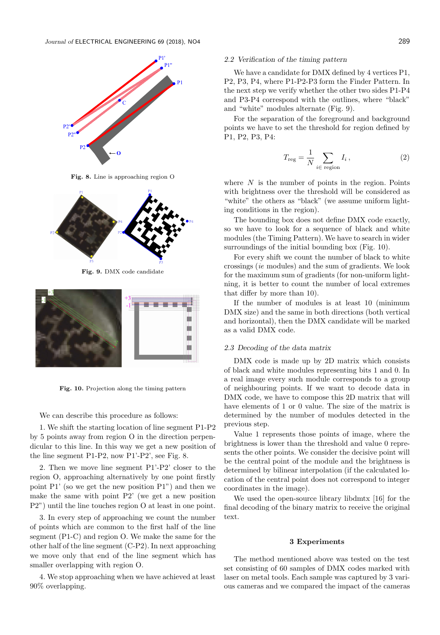

Fig. 8. Line is approaching region O



Fig. 9. DMX code candidate



Fig. 10. Projection along the timing pattern

We can describe this procedure as follows:

1. We shift the starting location of line segment P1-P2 by 5 points away from region O in the direction perpendicular to this line. In this way we get a new position of the line segment P1-P2, now P1'-P2', see Fig. 8.

2. Then we move line segment P1'-P2' closer to the region O, approaching alternatively by one point firstly point P1' (so we get the new position P1") and then we make the same with point P2' (we get a new position P2") until the line touches region O at least in one point.

3. In every step of approaching we count the number of points which are common to the first half of the line segment (P1-C) and region O. We make the same for the other half of the line segment (C-P2). In next approaching we move only that end of the line segment which has smaller overlapping with region O.

4. We stop approaching when we have achieved at least 90% overlapping.

## 2.2 Verification of the timing pattern

We have a candidate for DMX defined by 4 vertices P1, P2, P3, P4, where P1-P2-P3 form the Finder Pattern. In the next step we verify whether the other two sides P1-P4 and P3-P4 correspond with the outlines, where "black" and "white" modules alternate (Fig. 9).

For the separation of the foreground and background points we have to set the threshold for region defined by P1, P2, P3, P4:

$$
T_{\text{reg}} = \frac{1}{N} \sum_{i \in \text{ region}} I_i , \qquad (2)
$$

where  $N$  is the number of points in the region. Points with brightness over the threshold will be considered as "white" the others as "black" (we assume uniform lighting conditions in the region).

The bounding box does not define DMX code exactly, so we have to look for a sequence of black and white modules (the Timing Pattern). We have to search in wider surroundings of the initial bounding box (Fig. 10).

For every shift we count the number of black to white crossings (ie modules) and the sum of gradients. We look for the maximum sum of gradients (for non-uniform lightning, it is better to count the number of local extremes that differ by more than 10).

If the number of modules is at least 10 (minimum DMX size) and the same in both directions (both vertical and horizontal), then the DMX candidate will be marked as a valid DMX code.

#### 2.3 Decoding of the data matrix

DMX code is made up by 2D matrix which consists of black and white modules representing bits 1 and 0. In a real image every such module corresponds to a group of neighbouring points. If we want to decode data in DMX code, we have to compose this 2D matrix that will have elements of 1 or 0 value. The size of the matrix is determined by the number of modules detected in the previous step.

Value 1 represents those points of image, where the brightness is lower than the threshold and value 0 represents the other points. We consider the decisive point will be the central point of the module and the brightness is determined by bilinear interpolation (if the calculated location of the central point does not correspond to integer coordinates in the image).

We used the open-source library libdmtx [16] for the final decoding of the binary matrix to receive the original text.

## 3 Experiments

The method mentioned above was tested on the test set consisting of 60 samples of DMX codes marked with laser on metal tools. Each sample was captured by 3 various cameras and we compared the impact of the cameras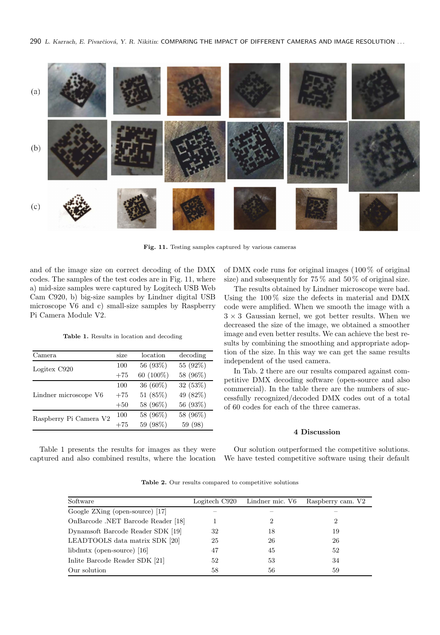

Fig. 11. Testing samples captured by various cameras

and of the image size on correct decoding of the DMX codes. The samples of the test codes are in Fig. 11, where a) mid-size samples were captured by Logitech USB Web Cam C920, b) big-size samples by Lindner digital USB microscope V6 and c) small-size samples by Raspberry Pi Camera Module V2.

Table 1. Results in location and decoding

| Camera                 | size  | location  | decoding |
|------------------------|-------|-----------|----------|
| Logitex C920           | 100   | 56 (93%)  | 55 (92%) |
|                        | $+75$ | 60 (100%) | 58 (96%) |
| Lindner microscope V6  | 100   | 36 (60%)  | 32 (53%) |
|                        | $+75$ | 51 (85%)  | 49 (82%) |
|                        | $+50$ | 58 (96%)  | 56 (93%) |
| Raspberry Pi Camera V2 | 100   | 58 (96%)  | 58 (96%) |
|                        | $+75$ | 59 (98%)  | 59 (98)  |

of DMX code runs for original images (100 % of original size) and subsequently for  $75\%$  and  $50\%$  of original size.

The results obtained by Lindner microscope were bad. Using the 100 % size the defects in material and DMX code were amplified. When we smooth the image with a  $3 \times 3$  Gaussian kernel, we got better results. When we decreased the size of the image, we obtained a smoother image and even better results. We can achieve the best results by combining the smoothing and appropriate adoption of the size. In this way we can get the same results independent of the used camera.

In Tab. 2 there are our results compared against competitive DMX decoding software (open-source and also commercial). In the table there are the numbers of successfully recognized/decoded DMX codes out of a total of 60 codes for each of the three cameras.

## 4 Discussion

Table 1 presents the results for images as they were captured and also combined results, where the location

Our solution outperformed the competitive solutions. We have tested competitive software using their default

Table 2. Our results compared to competitive solutions

| Software                           | Logitech C920 | Lindner mic. V6 | Raspberry cam. V2 |
|------------------------------------|---------------|-----------------|-------------------|
| Google ZXing (open-source) [17]    |               |                 |                   |
| OnBarcode .NET Barcode Reader [18] |               | 2               | 2                 |
| Dynamsoft Barcode Reader SDK [19]  | 32            | 18              | 19                |
| LEADTOOLS data matrix SDK [20]     | 25            | 26              | 26                |
| libdmtx (open-source) $[16]$       | 47            | 45              | 52                |
| Inlite Barcode Reader SDK [21]     | 52            | 53              | 34                |
| Our solution                       | 58            | 56              | 59                |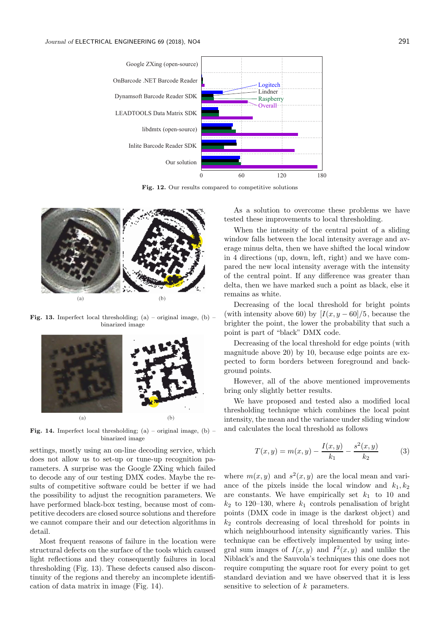

Fig. 12. Our results compared to competitive solutions



**Fig. 13.** Imperfect local thresholding;  $(a)$  – original image,  $(b)$  – binarized image



**Fig. 14.** Imperfect local thresholding;  $(a)$  – original image,  $(b)$  – binarized image

settings, mostly using an on-line decoding service, which does not allow us to set-up or tune-up recognition parameters. A surprise was the Google ZXing which failed to decode any of our testing DMX codes. Maybe the results of competitive software could be better if we had the possibility to adjust the recognition parameters. We have performed black-box testing, because most of competitive decoders are closed source solutions and therefore we cannot compare their and our detection algorithms in detail.

Most frequent reasons of failure in the location were structural defects on the surface of the tools which caused light reflections and they consequently failures in local thresholding (Fig. 13). These defects caused also discontinuity of the regions and thereby an incomplete identification of data matrix in image (Fig. 14).

As a solution to overcome these problems we have tested these improvements to local thresholding.

When the intensity of the central point of a sliding window falls between the local intensity average and average minus delta, then we have shifted the local window in 4 directions (up, down, left, right) and we have compared the new local intensity average with the intensity of the central point. If any difference was greater than delta, then we have marked such a point as black, else it remains as white.

Decreasing of the local threshold for bright points (with intensity above 60) by  $[I(x, y-60]/5]$ , because the brighter the point, the lower the probability that such a point is part of "black" DMX code.

Decreasing of the local threshold for edge points (with magnitude above 20) by 10, because edge points are expected to form borders between foreground and background points.

However, all of the above mentioned improvements bring only slightly better results.

We have proposed and tested also a modified local thresholding technique which combines the local point intensity, the mean and the variance under sliding window and calculates the local threshold as follows

$$
T(x,y) = m(x,y) - \frac{I(x,y)}{k_1} - \frac{s^2(x,y)}{k_2}
$$
 (3)

where  $m(x, y)$  and  $s<sup>2</sup>(x, y)$  are the local mean and variance of the pixels inside the local window and  $k_1, k_2$ are constants. We have empirically set  $k_1$  to 10 and  $k_2$  to 120–130, where  $k_1$  controls penalisation of bright points (DMX code in image is the darkest object) and  $k_2$  controls decreasing of local threshold for points in which neighbourhood intensity significantly varies. This technique can be effectively implemented by using integral sum images of  $I(x, y)$  and  $I^2(x, y)$  and unlike the Niblack's and the Sauvola's techniques this one does not require computing the square root for every point to get standard deviation and we have observed that it is less sensitive to selection of  $k$  parameters.